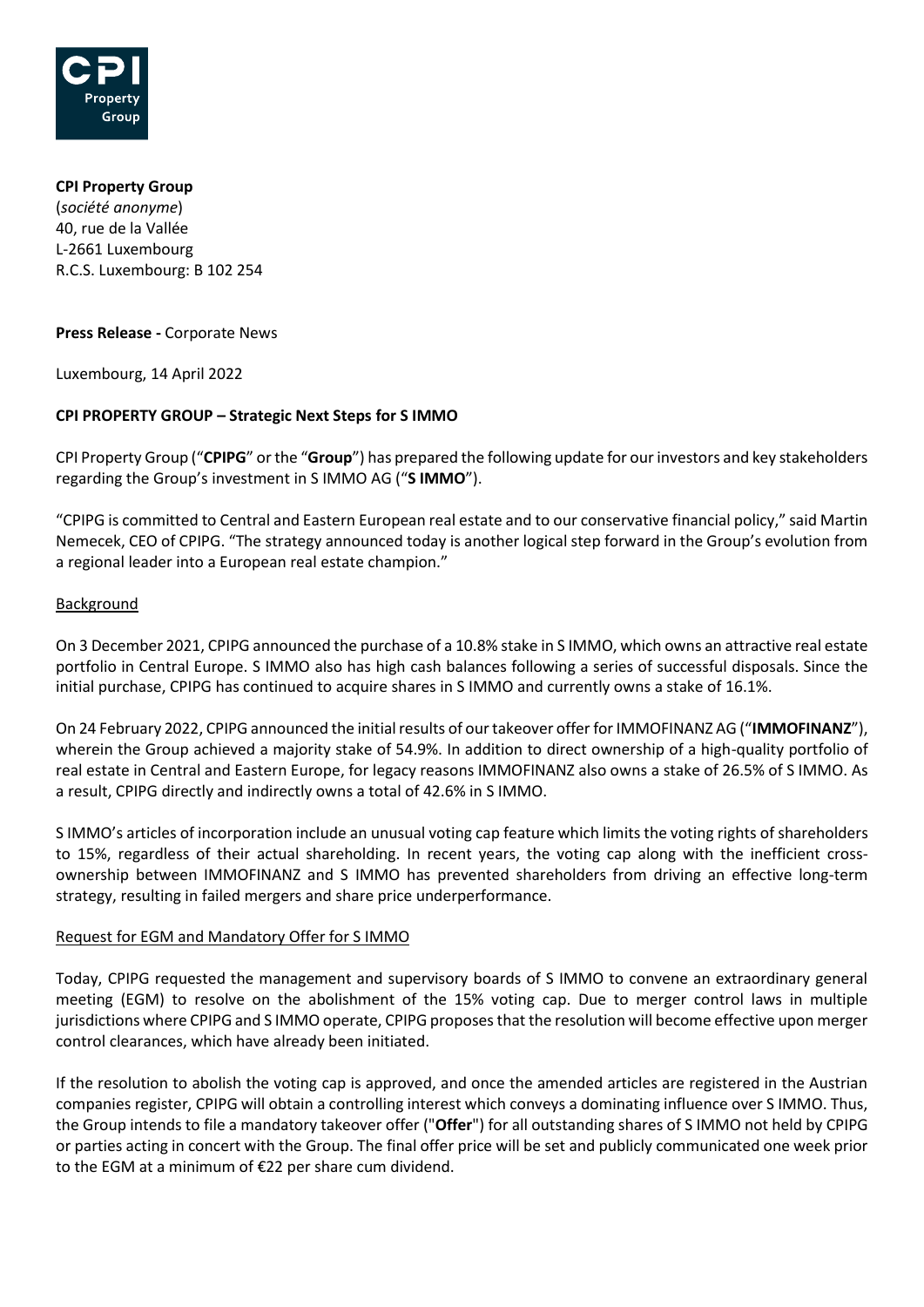

**CPI Property Group** (*société anonyme*) 40, rue de la Vallée L-2661 Luxembourg R.C.S. Luxembourg: B 102 254

**Press Release -** Corporate News

Luxembourg, 14 April 2022

# **CPI PROPERTY GROUP – Strategic Next Steps for S IMMO**

CPI Property Group ("**CPIPG**" or the "**Group**") has prepared the following update for our investors and key stakeholders regarding the Group's investment in S IMMO AG ("**S IMMO**").

"CPIPG is committed to Central and Eastern European real estate and to our conservative financial policy," said Martin Nemecek, CEO of CPIPG. "The strategy announced today is another logical step forward in the Group's evolution from a regional leader into a European real estate champion."

## Background

On 3 December 2021, CPIPG announced the purchase of a 10.8% stake in S IMMO, which owns an attractive real estate portfolio in Central Europe. S IMMO also has high cash balances following a series of successful disposals. Since the initial purchase, CPIPG has continued to acquire shares in S IMMO and currently owns a stake of 16.1%.

On 24 February 2022, CPIPG announced the initial results of our takeover offer for IMMOFINANZ AG ("**IMMOFINANZ**"), wherein the Group achieved a majority stake of 54.9%. In addition to direct ownership of a high-quality portfolio of real estate in Central and Eastern Europe, for legacy reasons IMMOFINANZ also owns a stake of 26.5% of S IMMO. As a result, CPIPG directly and indirectly owns a total of 42.6% in S IMMO.

S IMMO's articles of incorporation include an unusual voting cap feature which limits the voting rights of shareholders to 15%, regardless of their actual shareholding. In recent years, the voting cap along with the inefficient crossownership between IMMOFINANZ and S IMMO has prevented shareholders from driving an effective long-term strategy, resulting in failed mergers and share price underperformance.

## Request for EGM and Mandatory Offer for S IMMO

Today, CPIPG requested the management and supervisory boards of S IMMO to convene an extraordinary general meeting (EGM) to resolve on the abolishment of the 15% voting cap. Due to merger control laws in multiple jurisdictions where CPIPG and S IMMO operate, CPIPG proposes that the resolution will become effective upon merger control clearances, which have already been initiated.

If the resolution to abolish the voting cap is approved, and once the amended articles are registered in the Austrian companies register, CPIPG will obtain a controlling interest which conveys a dominating influence over S IMMO. Thus, the Group intends to file a mandatory takeover offer ("**Offer**") for all outstanding shares of S IMMO not held by CPIPG or parties acting in concert with the Group. The final offer price will be set and publicly communicated one week prior to the EGM at a minimum of €22 per share cum dividend.